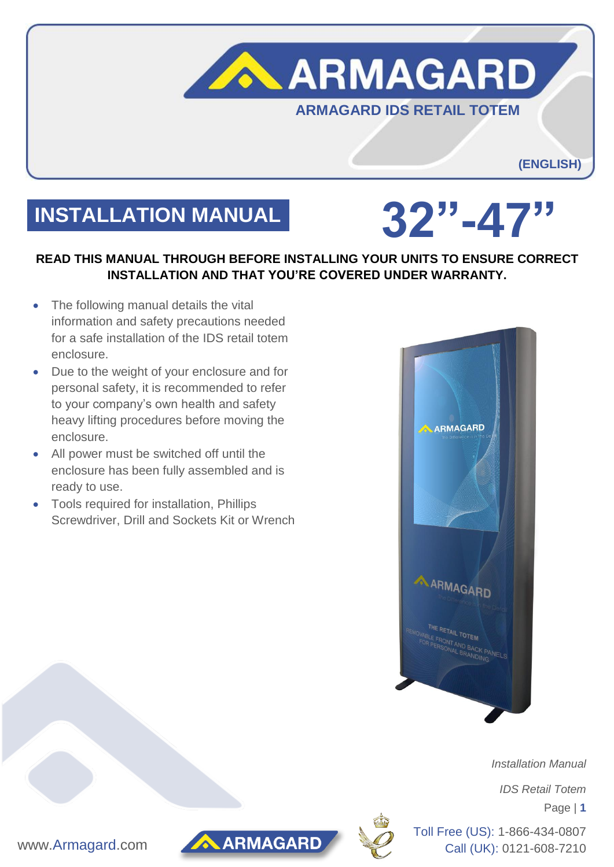

# **INSTALLATION MANUAL 32"-47"**

## **READ THIS MANUAL THROUGH BEFORE INSTALLING YOUR UNITS TO ENSURE CORRECT INSTALLATION AND THAT YOU'RE COVERED UNDER WARRANTY.**

- The following manual details the vital information and safety precautions needed for a safe installation of the IDS retail totem enclosure.
- Due to the weight of your enclosure and for personal safety, it is recommended to refer to your company's own health and safety heavy lifting procedures before moving the enclosure.
- All power must be switched off until the enclosure has been fully assembled and is ready to use.
- Tools required for installation, Phillips Screwdriver, Drill and Sockets Kit or Wrench



 *Installation Manual*

*IDS Retail Totem*

Page | **1**



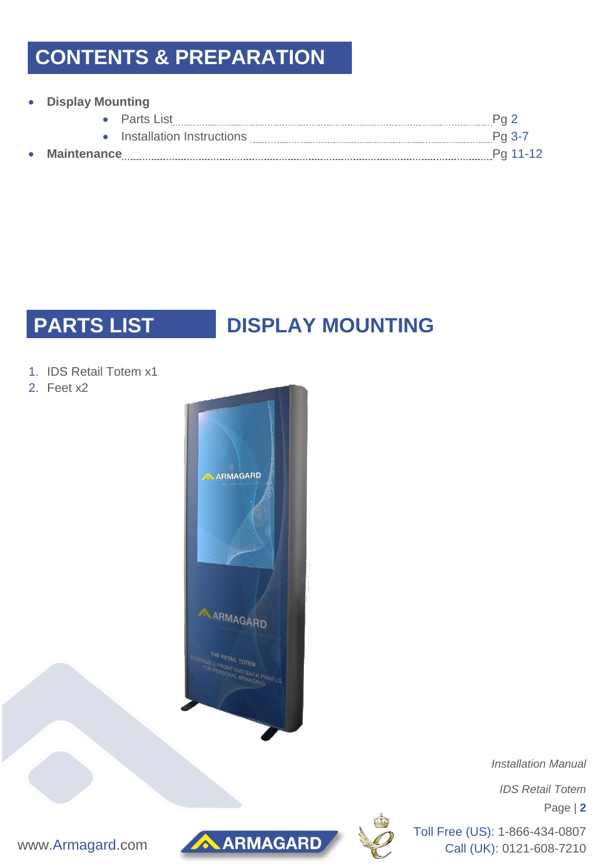## **CONTENTS & PREPARATION**

### **Display Mounting**

|           |             | $\bullet$ Parts List        |          |
|-----------|-------------|-----------------------------|----------|
|           |             | • Installation Instructions |          |
| $\bullet$ | Maintenance |                             | Pg 11-12 |

## **PARTS LIST DISPLAY MOUNTING**

- 1. IDS Retail Totem x1
- 2. Feet x2



 *Installation Manual*

*IDS Retail Totem*

Page | **2**





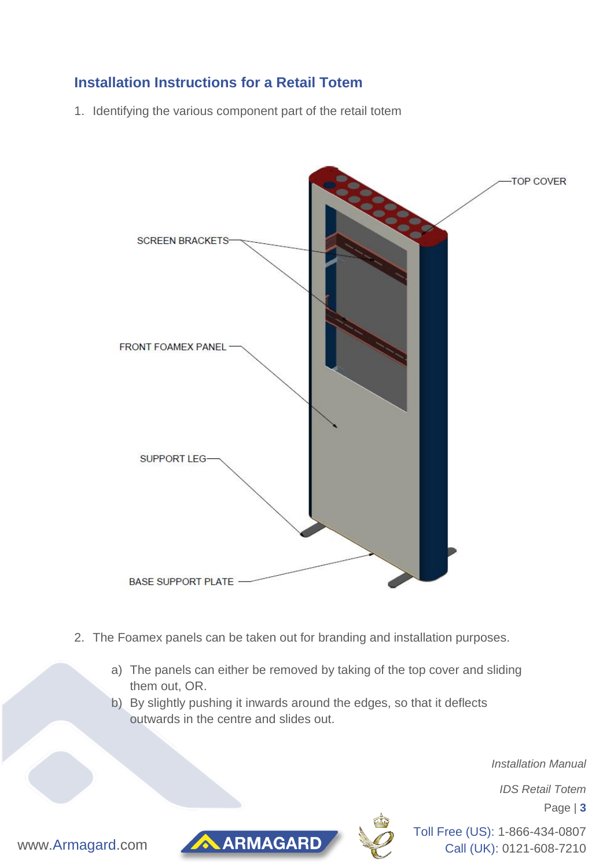## **Installation Instructions for a Retail Totem**

1. Identifying the various component part of the retail totem



- 2. The Foamex panels can be taken out for branding and installation purposes.
	- a) The panels can either be removed by taking of the top cover and sliding them out, OR.
	- b) By slightly pushing it inwards around the edges, so that it deflects outwards in the centre and slides out.

 *Installation Manual*

*IDS Retail Totem*

Page | **3**





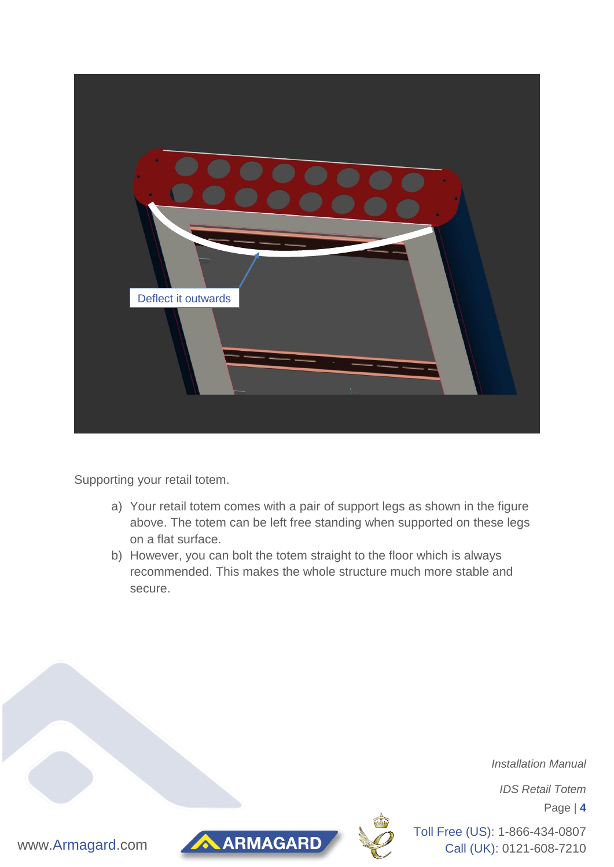

Supporting your retail totem.

- a) Your retail totem comes with a pair of support legs as shown in the figure above. The totem can be left free standing when supported on these legs on a flat surface.
- b) However, you can bolt the totem straight to the floor which is always recommended. This makes the whole structure much more stable and secure.

 *Installation Manual*

*IDS Retail Totem*

Page | **4**



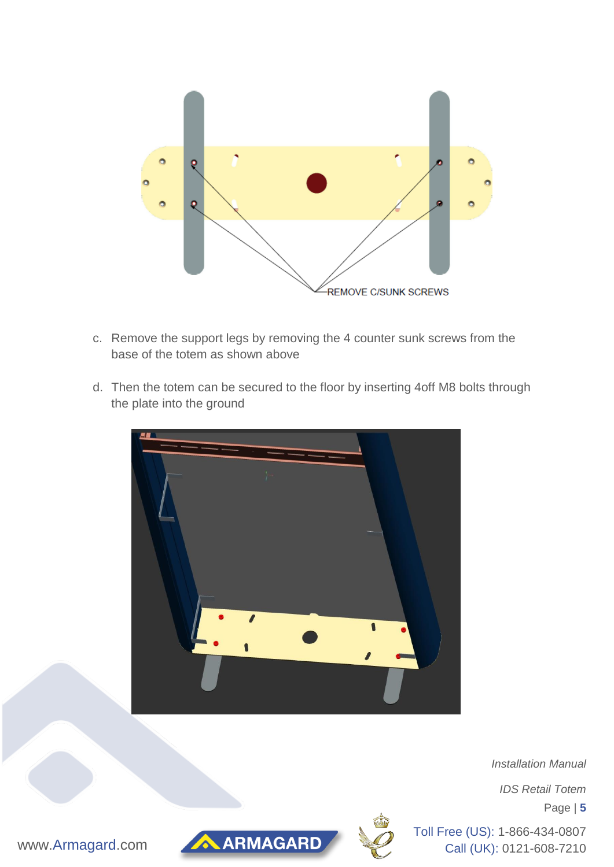

- c. Remove the support legs by removing the 4 counter sunk screws from the base of the totem as shown above
- d. Then the totem can be secured to the floor by inserting 4off M8 bolts through the plate into the ground



 *Installation Manual*

*IDS Retail Totem*

Page | **5**



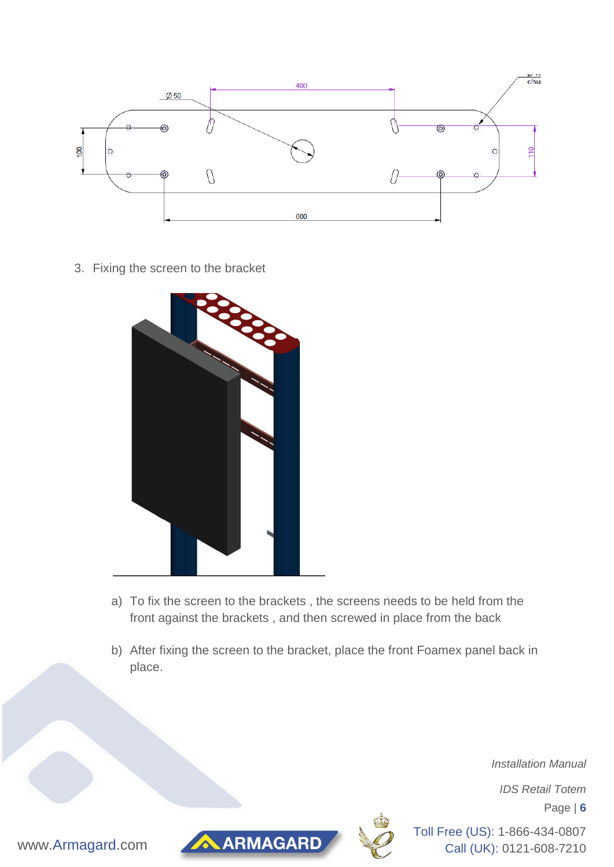

3. Fixing the screen to the bracket



- a) To fix the screen to the brackets , the screens needs to be held from the front against the brackets , and then screwed in place from the back
- b) After fixing the screen to the bracket, place the front Foamex panel back in place.

 *Installation Manual*

*IDS Retail Totem*

Page | **6**





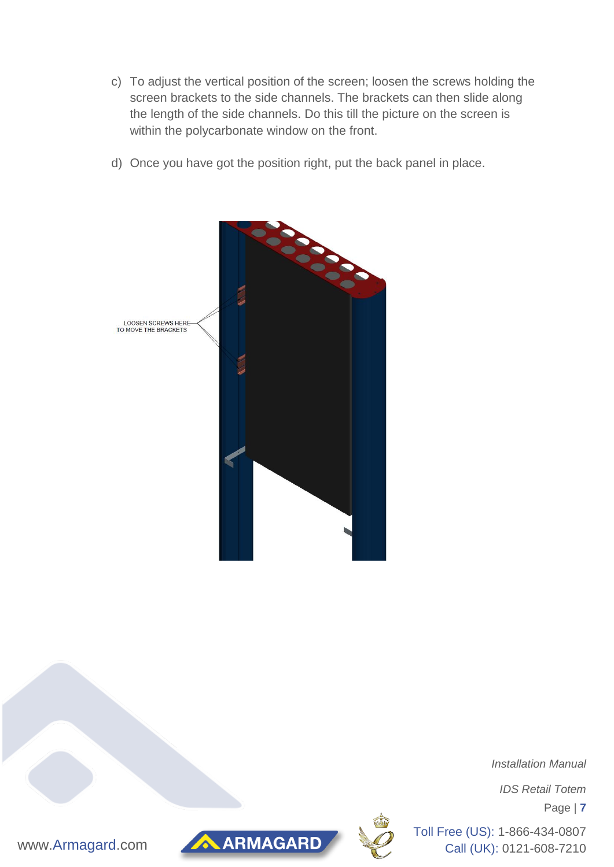- c) To adjust the vertical position of the screen; loosen the screws holding the screen brackets to the side channels. The brackets can then slide along the length of the side channels. Do this till the picture on the screen is within the polycarbonate window on the front.
- d) Once you have got the position right, put the back panel in place.



 *Installation Manual*

*IDS Retail Totem*

Page | **7**